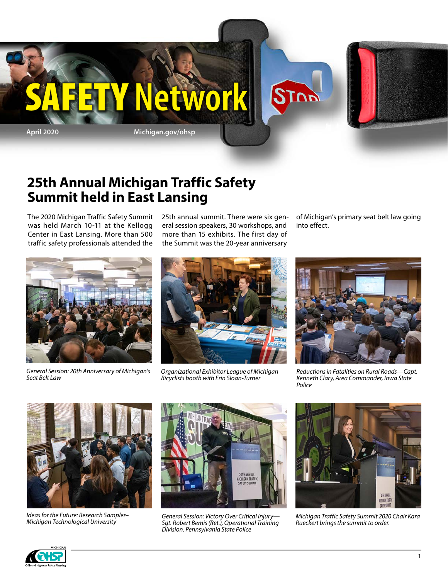

### **25th Annual Michigan Traffic Safety Summit held in East Lansing**

The 2020 Michigan Traffic Safety Summit was held March 10-11 at the Kellogg Center in East Lansing. More than 500 traffic safety professionals attended the 25th annual summit. There were six general session speakers, 30 workshops, and more than 15 exhibits. The first day of the Summit was the 20-year anniversary

of Michigan's primary seat belt law going into effect.



*General Session: 20th Anniversary of Michigan's Seat Belt Law*



*Organizational Exhibitor League of Michigan Bicyclists booth with Erin Sloan-Turner*



*Reductions in Fatalities on Rural Roads—Capt. Kenneth Clary, Area Commander, Iowa State Police*



*Ideas for the Future: Research Sampler– Michigan Technological University*



*General Session: Victory Over Critical Injury— Sgt. Robert Bemis (Ret.), Operational Training Division, Pennsylvania State Police*



*Michigan Traffic Safety Summit 2020 Chair Kara Rueckert brings the summit to order.*

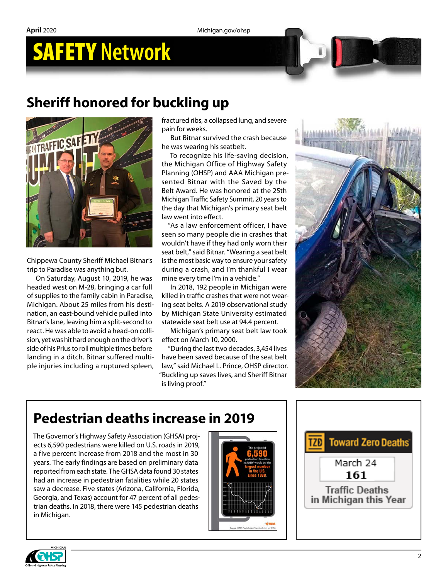### **Sheriff honored for buckling up**



Chippewa County Sheriff Michael Bitnar's trip to Paradise was anything but.

On Saturday, August 10, 2019, he was headed west on M-28, bringing a car full of supplies to the family cabin in Paradise, Michigan. About 25 miles from his desti nation, an east-bound vehicle pulled into Bitnar's lane, leaving him a split-second to react. He was able to avoid a head-on colli sion, yet was hit hard enough on the driver's side of his Prius to roll multiple times before landing in a ditch. Bitnar suffered multi ple injuries including a ruptured spleen, fractured ribs, a collapsed lung, and severe pain for weeks.

But Bitnar survived the crash because he was wearing his seatbelt.

To recognize his life-saving decision, the Michigan Office of Highway Safety Planning (OHSP) and AAA Michigan pre sented Bitnar with the Saved by the Belt Award. He was honored at the 25th Michigan Traffic Safety Summit, 20 years to the day that Michigan's primary seat belt law went into effect.

"As a law enforcement officer, I have seen so many people die in crashes that wouldn't have if they had only worn their seat belt," said Bitnar. "Wearing a seat belt is the most basic way to ensure your safety during a crash, and I'm thankful I wear mine every time I'm in a vehicle."

In 2018, 192 people in Michigan were killed in traffic crashes that were not wear ing seat belts. A 2019 observational study by Michigan State University estimated statewide seat belt use at 94.4 percent.

Michigan's primary seat belt law took effect on March 10, 2000.

"During the last two decades, 3,454 lives have been saved because of the seat belt law," said Michael L. Prince, OHSP director. "Buckling up saves lives, and Sheriff Bitnar is living proof."



### **Pedestrian deaths increase in 2019**

The Governor's Highway Safety Association (GHSA) proj ects 6,590 pedestrians were killed on U.S. roads in 2019, a five percent increase from 2018 and the most in 30 years. The early findings are based on preliminary data reported from each state. The GHSA data found 30 states had an increase in pedestrian fatalities while 20 states saw a decrease. Five states (Arizona, California, Florida, Georgia, and Texas) account for 47 percent of all pedes trian deaths. In 2018, there were 145 pedestrian deaths in Michigan.





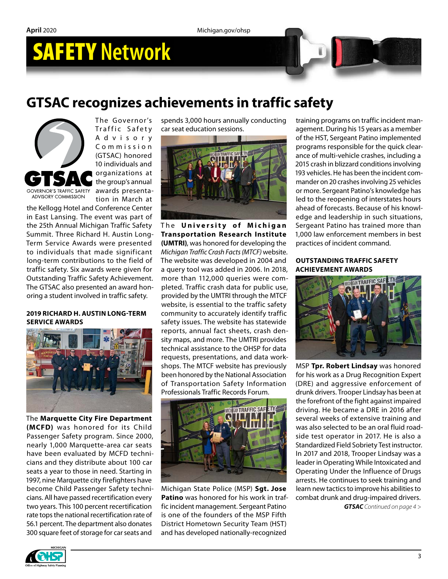**April** 2020 Michigan.gov/ohsp

# SAFETY **Network**

### **GTSAC recognizes achievements in traffic safety**



The Governor's Traffic Safety A d v i s o r y C o m m i s s i o n (GTSAC) honored 10 individuals and organizations at the group's annual awards presentation in March at

the Kellogg Hotel and Conference Center in East Lansing. The event was part of the 25th Annual Michigan Traffic Safety Summit. Three Richard H. Austin Long-Term Service Awards were presented to individuals that made significant long-term contributions to the field of traffic safety. Six awards were given for Outstanding Traffic Safety Achievement. The GTSAC also presented an award honoring a student involved in traffic safety.

#### **2019 RICHARD H. AUSTIN LONG-TERM SERVICE AWARDS**



The **Marquette City Fire Department (MCFD)** was honored for its Child Passenger Safety program. Since 2000, nearly 1,000 Marquette-area car seats have been evaluated by MCFD technicians and they distribute about 100 car seats a year to those in need. Starting in 1997, nine Marquette city firefighters have become Child Passenger Safety technicians. All have passed recertification every two years. This 100 percent recertification rate tops the national recertification rate of 56.1 percent. The department also donates 300 square feet of storage for car seats and

spends 3,000 hours annually conducting car seat education sessions.



**The University of Michigan Transportation Research Institute (UMTRI)**, was honored for developing the *Michigan Traffic Crash Facts (MTCF)* website. The website was developed in 2004 and a query tool was added in 2006. In 2018, more than 112,000 queries were completed. Traffic crash data for public use, provided by the UMTRI through the MTCF website, is essential to the traffic safety community to accurately identify traffic safety issues. The website has statewide reports, annual fact sheets, crash density maps, and more. The UMTRI provides technical assistance to the OHSP for data requests, presentations, and data workshops. The MTCF website has previously been honored by the National Association of Transportation Safety Information Professionals Traffic Records Forum.



Michigan State Police (MSP) **Sgt. Jose Patino** was honored for his work in traffic incident management. Sergeant Patino is one of the founders of the MSP Fifth District Hometown Security Team (HST) and has developed nationally-recognized

training programs on traffic incident management. During his 15 years as a member of the HST, Sergeant Patino implemented programs responsible for the quick clearance of multi-vehicle crashes, including a 2015 crash in blizzard conditions involving 193 vehicles. He has been the incident commander on 20 crashes involving 25 vehicles or more. Sergeant Patino's knowledge has led to the reopening of interstates hours ahead of forecasts. Because of his knowledge and leadership in such situations, Sergeant Patino has trained more than 1,000 law enforcement members in best practices of incident command.

### **OUTSTANDING TRAFFIC SAFETY ACHIEVEMENT AWARDS**



MSP **Tpr. Robert Lindsay** was honored for his work as a Drug Recognition Expert (DRE) and aggressive enforcement of drunk drivers. Trooper Lindsay has been at the forefront of the fight against impaired driving. He became a DRE in 2016 after several weeks of extensive training and was also selected to be an oral fluid roadside test operator in 2017. He is also a Standardized Field Sobriety Test instructor. In 2017 and 2018, Trooper Lindsay was a leader in Operating While Intoxicated and Operating Under the Influence of Drugs arrests. He continues to seek training and learn new tactics to improve his abilities to combat drunk and drug-impaired drivers. *GTSAC Continued on page 4 >*

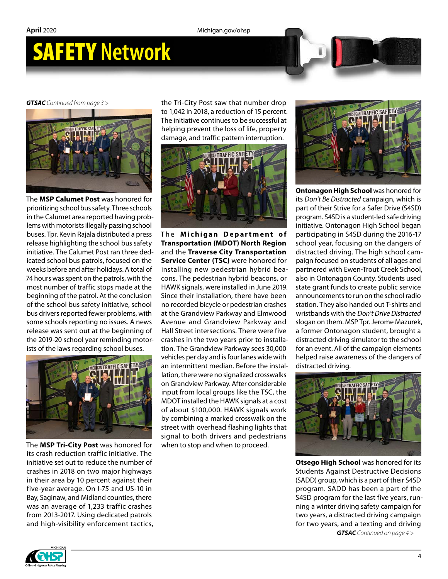*GTSAC Continued from page 3 >*



The **MSP Calumet Post** was honored for prioritizing school bus safety. Three schools in the Calumet area reported having problems with motorists illegally passing school buses. Tpr. Kevin Rajala distributed a press release highlighting the school bus safety initiative. The Calumet Post ran three dedicated school bus patrols, focused on the weeks before and after holidays. A total of 74 hours was spent on the patrols, with the most number of traffic stops made at the beginning of the patrol. At the conclusion of the school bus safety initiative, school bus drivers reported fewer problems, with some schools reporting no issues. A news release was sent out at the beginning of the 2019-20 school year reminding motorists of the laws regarding school buses.



The **MSP Tri-City Post** was honored for its crash reduction traffic initiative. The initiative set out to reduce the number of crashes in 2018 on two major highways in their area by 10 percent against their five-year average. On I-75 and US-10 in Bay, Saginaw, and Midland counties, there was an average of 1,233 traffic crashes from 2013-2017. Using dedicated patrols and high-visibility enforcement tactics,

the Tri-City Post saw that number drop to 1,042 in 2018, a reduction of 15 percent. The initiative continues to be successful at helping prevent the loss of life, property damage, and traffic pattern interruption.



**The Michigan Department of Transportation (MDOT) North Region** and the **Traverse City Transportation Service Center (TSC)** were honored for installing new pedestrian hybrid beacons. The pedestrian hybrid beacons, or HAWK signals, were installed in June 2019. Since their installation, there have been no recorded bicycle or pedestrian crashes at the Grandview Parkway and Elmwood Avenue and Grandview Parkway and Hall Street intersections. There were five crashes in the two years prior to installation. The Grandview Parkway sees 30,000 vehicles per day and is four lanes wide with an intermittent median. Before the installation, there were no signalized crosswalks on Grandview Parkway. After considerable input from local groups like the TSC, the MDOT installed the HAWK signals at a cost of about \$100,000. HAWK signals work by combining a marked crosswalk on the street with overhead flashing lights that signal to both drivers and pedestrians when to stop and when to proceed.



**Ontonagon High School** was honored for its *Don't Be Distracted* campaign, which is part of their Strive for a Safer Drive (S4SD) program. S4SD is a student-led safe driving initiative. Ontonagon High School began participating in S4SD during the 2016-17 school year, focusing on the dangers of distracted driving. The high school campaign focused on students of all ages and partnered with Ewen-Trout Creek School, also in Ontonagon County. Students used state grant funds to create public service announcements to run on the school radio station. They also handed out T-shirts and wristbands with the *Don't Drive Distracted* slogan on them. MSP Tpr. Jerome Mazurek, a former Ontonagon student, brought a distracted driving simulator to the school for an event. All of the campaign elements helped raise awareness of the dangers of distracted driving.



**Otsego High School** was honored for its Students Against Destructive Decisions (SADD) group, which is a part of their S4SD program. SADD has been a part of the S4SD program for the last five years, running a winter driving safety campaign for two years, a distracted driving campaign for two years, and a texting and driving *GTSAC Continued on page 4 >*

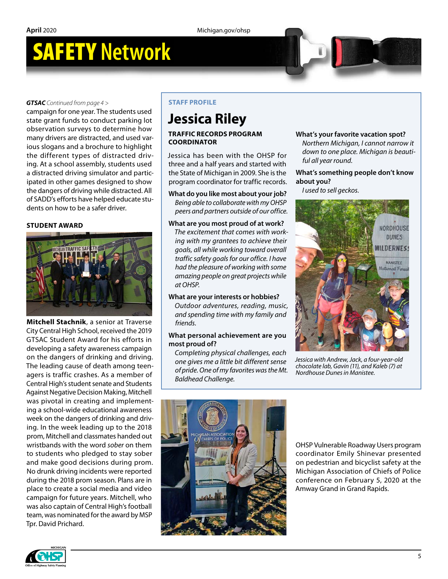#### *GTSAC Continued from page 4 >*

campaign for one year. The students used state grant funds to conduct parking lot observation surveys to determine how many drivers are distracted, and used various slogans and a brochure to highlight the different types of distracted driving. At a school assembly, students used a distracted driving simulator and participated in other games designed to show the dangers of driving while distracted. All of SADD's efforts have helped educate students on how to be a safer driver.

#### **STUDENT AWARD**



**Mitchell Stachnik**, a senior at Traverse City Central High School, received the 2019 GTSAC Student Award for his efforts in developing a safety awareness campaign on the dangers of drinking and driving. The leading cause of death among teenagers is traffic crashes. As a member of Central High's student senate and Students Against Negative Decision Making, Mitchell was pivotal in creating and implementing a school-wide educational awareness week on the dangers of drinking and driving. In the week leading up to the 2018 prom, Mitchell and classmates handed out wristbands with the word *sober* on them to students who pledged to stay sober and make good decisions during prom. No drunk driving incidents were reported during the 2018 prom season. Plans are in place to create a social media and video campaign for future years. Mitchell, who was also captain of Central High's football team, was nominated for the award by MSP Tpr. David Prichard.

#### **STAFF PROFILE**

### **Jessica Riley**

### **TRAFFIC RECORDS PROGRAM COORDINATOR**

Jessica has been with the OHSP for three and a half years and started with the State of Michigan in 2009. She is the program coordinator for traffic records.

**What do you like most about your job?**  *Being able to collaborate with my OHSP peers and partners outside of our office.*

#### **What are you most proud of at work?**

*The excitement that comes with working with my grantees to achieve their goals, all while working toward overall traffic safety goals for our office. I have had the pleasure of working with some amazing people on great projects while at OHSP.*

### **What are your interests or hobbies?**

*Outdoor adventures, reading, music, and spending time with my family and friends.*

### **What personal achievement are you most proud of?**

*Completing physical challenges, each one gives me a little bit different sense of pride. One of my favorites was the Mt. Baldhead Challenge.*

#### **What's your favorite vacation spot?** *Northern Michigan, I cannot narrow it down to one place. Michigan is beautiful all year round.*

**What's something people don't know about you?**

*I used to sell geckos.*



*Jessica with Andrew, Jack, a four-year-old chocolate lab, Gavin (11), and Kaleb (7) at Nordhouse Dunes in Manistee.*



OHSP Vulnerable Roadway Users program coordinator Emily Shinevar presented on pedestrian and bicyclist safety at the Michigan Association of Chiefs of Police conference on February 5, 2020 at the Amway Grand in Grand Rapids.

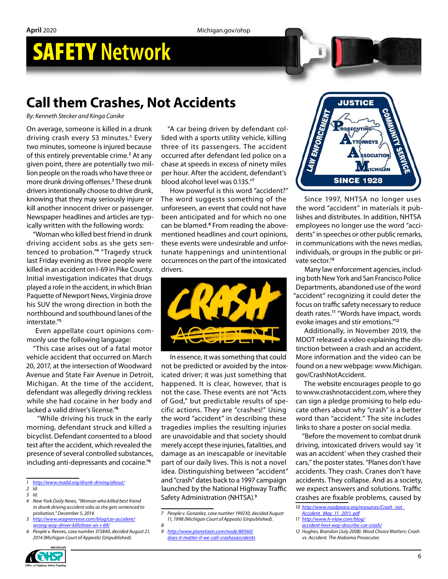### **Call them Crashes, Not Accidents**

*By: Kenneth Stecker and Kinga Canike*

On average, someone is killed in a drunk driving crash every 53 minutes.**<sup>1</sup>** Every two minutes, someone is injured because of this entirely preventable crime.**<sup>2</sup>** At any given point, there are potentially two million people on the roads who have three or more drunk driving offenses.**<sup>3</sup>** These drunk drivers intentionally choose to drive drunk, knowing that they may seriously injure or kill another innocent driver or passenger. Newspaper headlines and articles are typically written with the following words:

"Woman who killed best friend in drunk driving accident sobs as she gets sentenced to probation."**<sup>4</sup>** "Tragedy struck last Friday evening as three people were killed in an accident on I-69 in Pike County. Initial investigation indicates that drugs played a role in the accident, in which Brian Paquette of Newport News, Virginia drove his SUV the wrong direction in both the northbound and southbound lanes of the interstate."**<sup>5</sup>**

Even appellate court opinions commonly use the following language:

"This case arises out of a fatal motor vehicle accident that occurred on March 20, 2017, at the intersection of Woodward Avenue and State Fair Avenue in Detroit, Michigan. At the time of the accident, defendant was allegedly driving reckless while she had cocaine in her body and lacked a valid driver's license."**<sup>6</sup>**

 "While driving his truck in the early morning, defendant struck and killed a bicyclist. Defendant consented to a blood test after the accident, which revealed the presence of several controlled substances, including anti-depressants and cocaine."**<sup>6</sup>**

*1 <http://www.madd.org/drunk-driving/about/>*

- *2 Id.*
- *3 Id.*
- *4 New York Daily News, "Woman who killed best friend in drunk driving accident sobs as she gets sentenced to probation," December 5, 2014.*
- *5 [http://www.wagnerreese.com/blog/car-accident/](http://www.wagnerreese.com/blog/car-accident/wrong-way-driver-killsthree-on-i-69/) [wrong-way-driver-killsthree-on-i-69/](http://www.wagnerreese.com/blog/car-accident/wrong-way-driver-killsthree-on-i-69/)*
- *6 People v. Reeves, case number 315840, decided August 21, 2014 (Michigan Court of Appeals) (Unpublished).*

"A car being driven by defendant collided with a sports utility vehicle, killing three of its passengers. The accident occurred after defendant led police on a chase at speeds in excess of ninety miles per hour. After the accident, defendant's blood alcohol level was 0.135."**<sup>7</sup>**

How powerful is this word "accident?" The word suggests something of the unforeseen, an event that could not have been anticipated and for which no one can be blamed.**<sup>8</sup>** From reading the abovementioned headlines and court opinions, these events were undesirable and unfortunate happenings and unintentional occurrences on the part of the intoxicated drivers.



In essence, it was something that could not be predicted or avoided by the intoxicated driver; it was just something that happened. It is clear, however, that is not the case. These events are not "Acts of God," but predictable results of specific actions. They are "crashes!" Using the word "accident" in describing these tragedies implies the resulting injuries are unavoidable and that society should merely accept these injuries, fatalities, and damage as an inescapable or inevitable part of our daily lives. This is not a novel idea. Distinguishing between "accident" and "crash" dates back to a 1997 campaign launched by the National Highway Traffic Safety Administration (NHTSA).**<sup>9</sup>**

*9 [http://www.planetizen.com/node/80560/](http://www.planetizen.com/node/80560/does-it-matter-if-we-call-crashesaccidents) [does-it-matter-if-we-call-crashesaccidents](http://www.planetizen.com/node/80560/does-it-matter-if-we-call-crashesaccidents)*



Since 1997, NHTSA no longer uses the word "accident" in materials it publishes and distributes. In addition, NHTSA employees no longer use the word "accidents" in speeches or other public remarks, in communications with the news medias, individuals, or groups in the public or private sector.**<sup>10</sup>**

Many law enforcement agencies, including both New York and San Francisco Police Departments, abandoned use of the word "accident" recognizing it could deter the focus on traffic safety necessary to reduce death rates.**<sup>11</sup>** "Words have impact, words evoke images and stir emotions."**<sup>12</sup>**

Additionally, in November 2019, the MDOT released a video explaining the distinction between a crash and an accident. More information and the video can be found on a new webpage: www.Michigan. gov/CrashNotAccident.

The website encourages people to go to www.crashnotaccident.com, where they can sign a pledge promising to help educate others about why "crash" is a better word than "accident." The site includes links to share a poster on social media.

"Before the movement to combat drunk driving, intoxicated drivers would say 'it was an accident' when they crashed their cars," the poster states. "Planes don't have accidents. They crash. Cranes don't have accidents. They collapse. And as a society, we expect answers and solutions. Traffic crashes are fixable problems, caused by

- *10 [http://www.roadpeace.org/resources/Crash\\_not\\_](http://www.roadpeace.org/resources/Crash_not_Accident_May_11_2011. pdf)*
- *[Accident\\_May\\_11\\_2011. pdf](http://www.roadpeace.org/resources/Crash_not_Accident_May_11_2011. pdf)*
- *11 [http://www.h-nlaw.com/blog/](http://www.h-nlaw.com/blog/accident-best-way-describe-car-crash/)*
- *[accident-best-way-describe-car-crash/](http://www.h-nlaw.com/blog/accident-best-way-describe-car-crash/)*
- *12 Hughes, Brandon (July 2008). Word Choice Matters: Crash vs. Accident. The Alabama Prosecutor.*



*<sup>7</sup> People v. Gonzalez, case number 199230, decided August 11, 1998 (Michigan Court of Appeals) (Unpublished). 8*